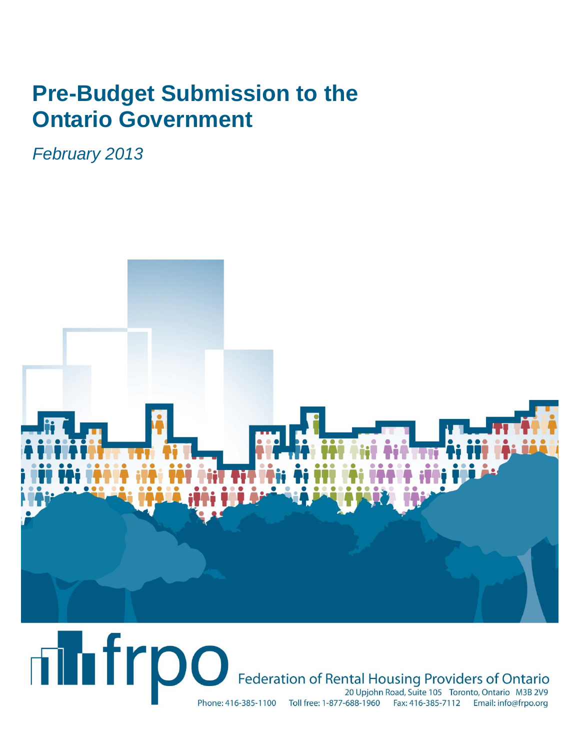# **Pre-Budget Submission to the Ontario Government**

*February 2013*



# **Thirpo** Federation of Rental Housing Providers of Ontario 20 Upjohn Road, Suite 105 Toronto, Ontario M3B 2V9 Phone: 416-385-1100 Toll free: 1-877-688-1960 Fax: 416-385-7112 Email: info@frpo.org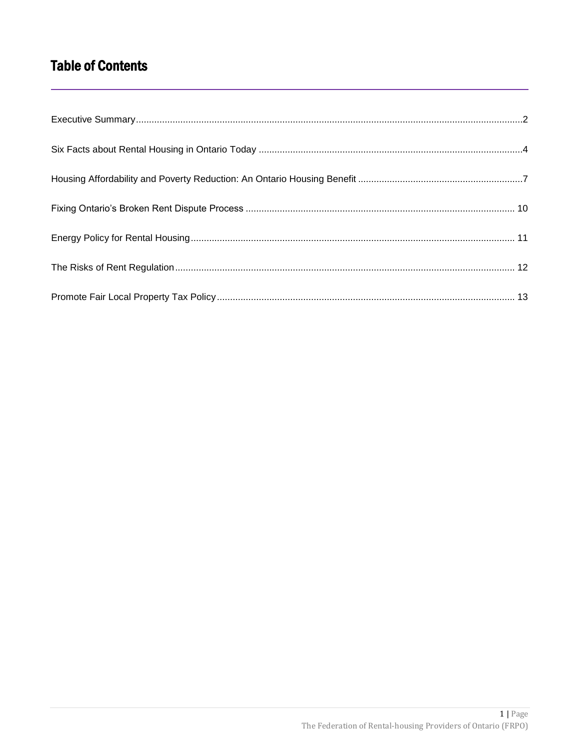# **Table of Contents**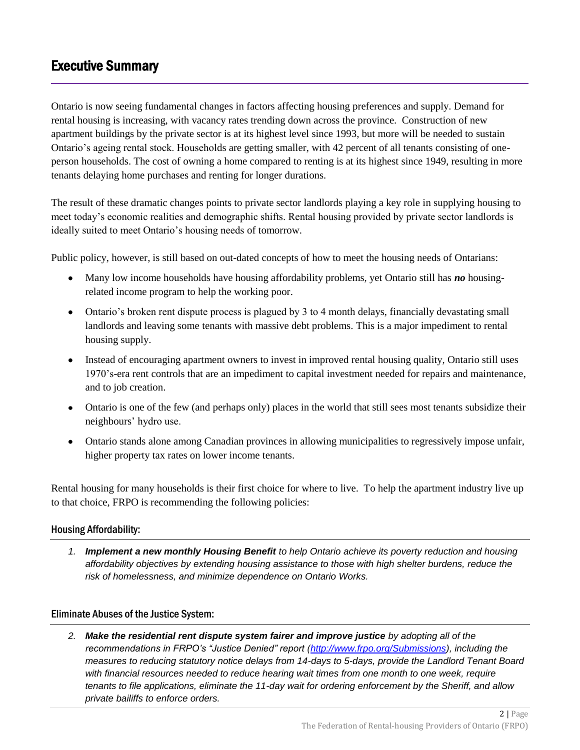# <span id="page-2-0"></span>Executive Summary

Ontario is now seeing fundamental changes in factors affecting housing preferences and supply. Demand for rental housing is increasing, with vacancy rates trending down across the province. Construction of new apartment buildings by the private sector is at its highest level since 1993, but more will be needed to sustain Ontario's ageing rental stock. Households are getting smaller, with 42 percent of all tenants consisting of oneperson households. The cost of owning a home compared to renting is at its highest since 1949, resulting in more tenants delaying home purchases and renting for longer durations.

The result of these dramatic changes points to private sector landlords playing a key role in supplying housing to meet today's economic realities and demographic shifts. Rental housing provided by private sector landlords is ideally suited to meet Ontario's housing needs of tomorrow.

Public policy, however, is still based on out-dated concepts of how to meet the housing needs of Ontarians:

- Many low income households have housing affordability problems, yet Ontario still has *no* housingrelated income program to help the working poor.
- Ontario's broken rent dispute process is plagued by 3 to 4 month delays, financially devastating small landlords and leaving some tenants with massive debt problems. This is a major impediment to rental housing supply.
- Instead of encouraging apartment owners to invest in improved rental housing quality, Ontario still uses 1970's-era rent controls that are an impediment to capital investment needed for repairs and maintenance, and to job creation.
- Ontario is one of the few (and perhaps only) places in the world that still sees most tenants subsidize their neighbours' hydro use.
- Ontario stands alone among Canadian provinces in allowing municipalities to regressively impose unfair, higher property tax rates on lower income tenants.

Rental housing for many households is their first choice for where to live. To help the apartment industry live up to that choice, FRPO is recommending the following policies:

### Housing Affordability:

*1. Implement a new monthly Housing Benefit to help Ontario achieve its poverty reduction and housing affordability objectives by extending housing assistance to those with high shelter burdens, reduce the risk of homelessness, and minimize dependence on Ontario Works.*

### Eliminate Abuses of the Justice System:

*2. Make the residential rent dispute system fairer and improve justice by adopting all of the recommendations in FRPO's "Justice Denied" report [\(http://www.frpo.org/Submissions\)](http://www.frpo.org/Submissions), including the measures to reducing statutory notice delays from 14-days to 5-days, provide the Landlord Tenant Board with financial resources needed to reduce hearing wait times from one month to one week, require tenants to file applications, eliminate the 11-day wait for ordering enforcement by the Sheriff, and allow private bailiffs to enforce orders.*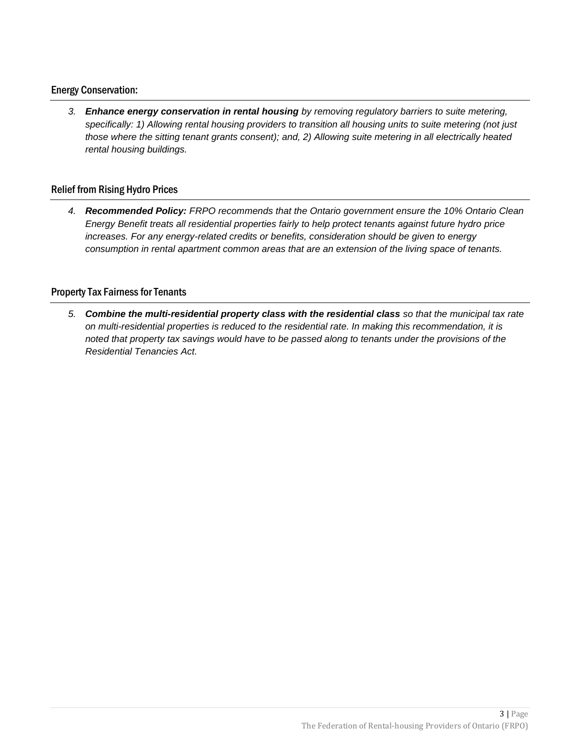### Energy Conservation:

*3. Enhance energy conservation in rental housing by removing regulatory barriers to suite metering, specifically: 1) Allowing rental housing providers to transition all housing units to suite metering (not just those where the sitting tenant grants consent); and, 2) Allowing suite metering in all electrically heated rental housing buildings.*

### Relief from Rising Hydro Prices

*4. Recommended Policy: FRPO recommends that the Ontario government ensure the 10% Ontario Clean Energy Benefit treats all residential properties fairly to help protect tenants against future hydro price increases. For any energy-related credits or benefits, consideration should be given to energy consumption in rental apartment common areas that are an extension of the living space of tenants.*

### Property Tax Fairness for Tenants

*5. Combine the multi-residential property class with the residential class so that the municipal tax rate on multi-residential properties is reduced to the residential rate. In making this recommendation, it is noted that property tax savings would have to be passed along to tenants under the provisions of the Residential Tenancies Act.*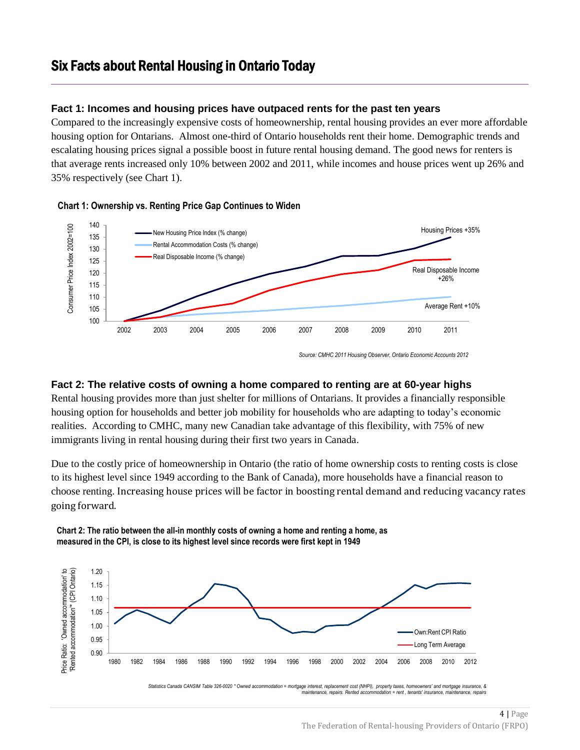## <span id="page-4-0"></span>Six Facts about Rental Housing in Ontario Today

### **Fact 1: Incomes and housing prices have outpaced rents for the past ten years**

Compared to the increasingly expensive costs of homeownership, rental housing provides an ever more affordable housing option for Ontarians. Almost one-third of Ontario households rent their home. Demographic trends and escalating housing prices signal a possible boost in future rental housing demand. The good news for renters is that average rents increased only 10% between 2002 and 2011, while incomes and house prices went up 26% and 35% respectively (see Chart 1).



#### **Chart 1: Ownership vs. Renting Price Gap Continues to Widen**

*Source: CMHC 2011 Housing Observer, Ontario Economic Accounts 2012*

### **Fact 2: The relative costs of owning a home compared to renting are at 60-year highs**

Rental housing provides more than just shelter for millions of Ontarians. It provides a financially responsible housing option for households and better job mobility for households who are adapting to today's economic realities. According to CMHC, many new Canadian take advantage of this flexibility, with 75% of new immigrants living in rental housing during their first two years in Canada.

Due to the costly price of homeownership in Ontario (the ratio of home ownership costs to renting costs is close to its highest level since 1949 according to the Bank of Canada), more households have a financial reason to choose renting. Increasing house prices will be factor in boosting rental demand and reducing vacancy rates going forward.

**Chart 2: The ratio between the all-in monthly costs of owning a home and renting a home, as measured in the CPI, is close to its highest level since records were first kept in 1949** 



*Statistics Canada CANSIM Table 326-0020 \* Owned accommodation = mortgage interest, replacement cost (NHPI), property taxes, homeowners' and mortgage insurance, & maintenance, repairs. Rented accommodation = rent , tenants' insurance, maintenance, repairs*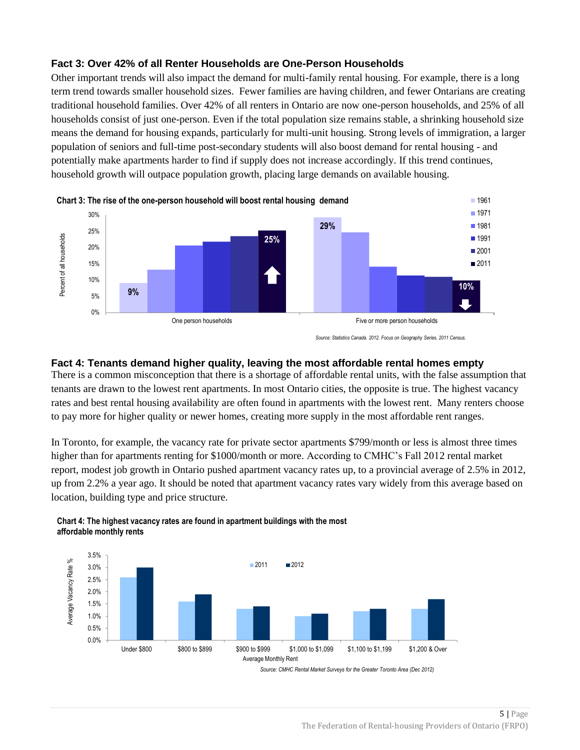### **Fact 3: Over 42% of all Renter Households are One-Person Households**

Other important trends will also impact the demand for multi-family rental housing. For example, there is a long term trend towards smaller household sizes. Fewer families are having children, and fewer Ontarians are creating traditional household families. Over 42% of all renters in Ontario are now one-person households, and 25% of all households consist of just one-person. Even if the total population size remains stable, a shrinking household size means the demand for housing expands, particularly for multi-unit housing. Strong levels of immigration, a larger population of seniors and full-time post-secondary students will also boost demand for rental housing - and potentially make apartments harder to find if supply does not increase accordingly. If this trend continues, household growth will outpace population growth, placing large demands on available housing.



*Source: Statistics Canada. 2012. Focus on Geography Series, 2011 Census.* 

### **Fact 4: Tenants demand higher quality, leaving the most affordable rental homes empty**

There is a common misconception that there is a shortage of affordable rental units, with the false assumption that tenants are drawn to the lowest rent apartments. In most Ontario cities, the opposite is true. The highest vacancy rates and best rental housing availability are often found in apartments with the lowest rent. Many renters choose to pay more for higher quality or newer homes, creating more supply in the most affordable rent ranges.

In Toronto, for example, the vacancy rate for private sector apartments \$799/month or less is almost three times higher than for apartments renting for \$1000/month or more. According to CMHC's Fall 2012 rental market report, modest job growth in Ontario pushed apartment vacancy rates up, to a provincial average of 2.5% in 2012, up from 2.2% a year ago. It should be noted that apartment vacancy rates vary widely from this average based on location, building type and price structure.



**Chart 4: The highest vacancy rates are found in apartment buildings with the most affordable monthly rents**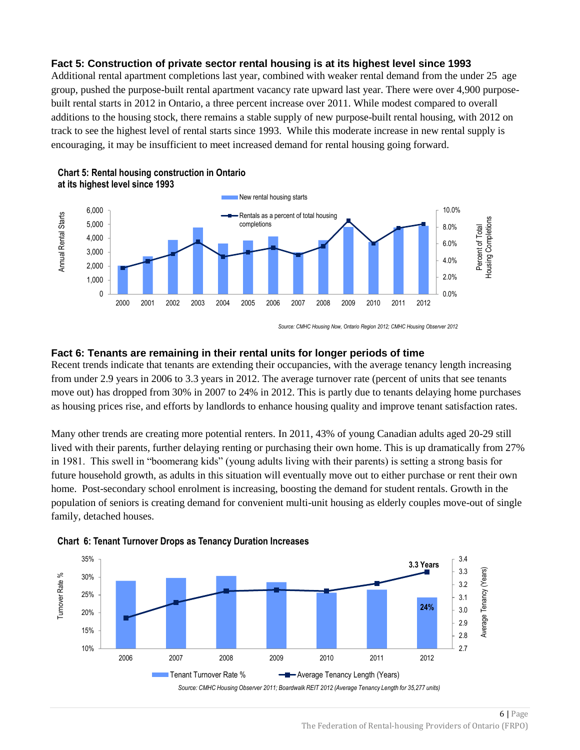### **Fact 5: Construction of private sector rental housing is at its highest level since 1993**

Additional rental apartment completions last year, combined with weaker rental demand from the under 25 age group, pushed the purpose-built rental apartment vacancy rate upward last year. There were over 4,900 purposebuilt rental starts in 2012 in Ontario, a three percent increase over 2011. While modest compared to overall additions to the housing stock, there remains a stable supply of new purpose-built rental housing, with 2012 on track to see the highest level of rental starts since 1993. While this moderate increase in new rental supply is encouraging, it may be insufficient to meet increased demand for rental housing going forward.



#### **Chart 5: Rental housing construction in Ontario at its highest level since 1993**

*Source: CMHC Housing Now, Ontario Region 2012; CMHC Housing Observer 2012*

#### **Fact 6: Tenants are remaining in their rental units for longer periods of time**

Recent trends indicate that tenants are extending their occupancies, with the average tenancy length increasing from under 2.9 years in 2006 to 3.3 years in 2012. The average turnover rate (percent of units that see tenants move out) has dropped from 30% in 2007 to 24% in 2012. This is partly due to tenants delaying home purchases as housing prices rise, and efforts by landlords to enhance housing quality and improve tenant satisfaction rates.

Many other trends are creating more potential renters. In 2011, 43% of young Canadian adults aged 20-29 still lived with their parents, further delaying renting or purchasing their own home. This is up dramatically from 27% in 1981. This swell in "boomerang kids" (young adults living with their parents) is setting a strong basis for future household growth, as adults in this situation will eventually move out to either purchase or rent their own home. Post-secondary school enrolment is increasing, boosting the demand for student rentals. Growth in the population of seniors is creating demand for convenient multi-unit housing as elderly couples move-out of single family, detached houses.





<sup>6</sup> | Page The Federation of Rental-housing Providers of Ontario (FRPO)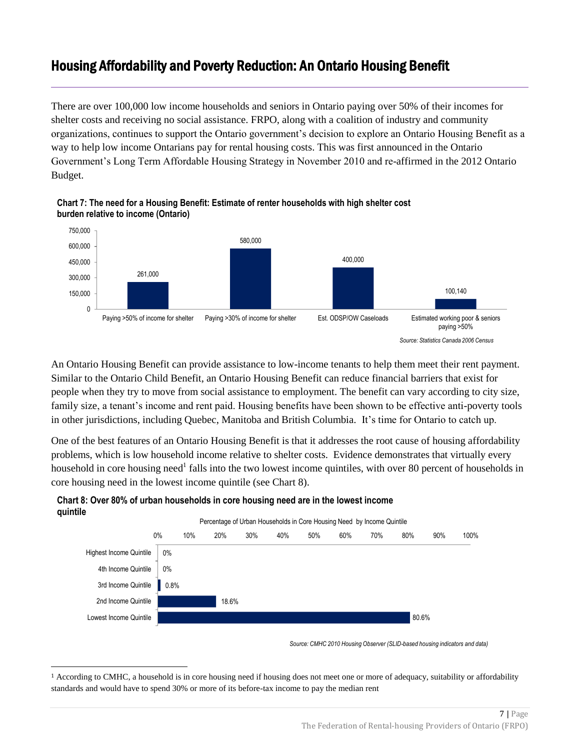# <span id="page-7-0"></span>Housing Affordability and Poverty Reduction: An Ontario Housing Benefit

There are over 100,000 low income households and seniors in Ontario paying over 50% of their incomes for shelter costs and receiving no social assistance. FRPO, along with a coalition of industry and community organizations, continues to support the Ontario government's decision to explore an Ontario Housing Benefit as a way to help low income Ontarians pay for rental housing costs. This was first announced in the Ontario Government's Long Term Affordable Housing Strategy in November 2010 and re-affirmed in the 2012 Ontario Budget.



**Chart 7: The need for a Housing Benefit: Estimate of renter households with high shelter cost burden relative to income (Ontario)**

An Ontario Housing Benefit can provide assistance to low-income tenants to help them meet their rent payment. Similar to the Ontario Child Benefit, an Ontario Housing Benefit can reduce financial barriers that exist for people when they try to move from social assistance to employment. The benefit can vary according to city size, family size, a tenant's income and rent paid. Housing benefits have been shown to be effective anti-poverty tools in other jurisdictions, including Quebec, Manitoba and British Columbia. It's time for Ontario to catch up.

One of the best features of an Ontario Housing Benefit is that it addresses the root cause of housing affordability problems, which is low household income relative to shelter costs. Evidence demonstrates that virtually every household in core housing need<sup>1</sup> falls into the two lowest income quintiles, with over 80 percent of households in core housing need in the lowest income quintile (see Chart 8).



**Chart 8: Over 80% of urban households in core housing need are in the lowest income quintile** 

 $\overline{\phantom{a}}$ 

*Source: CMHC 2010 Housing Observer (SLID-based housing indicators and data)*

<sup>1</sup> According to CMHC, a household is in core housing need if housing does not meet one or more of adequacy, suitability or affordability standards and would have to spend 30% or more of its before-tax income to pay the median rent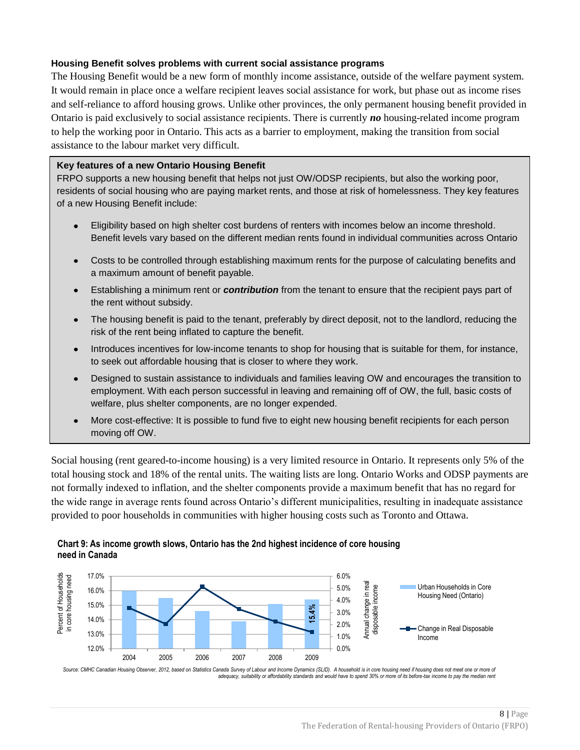### **Housing Benefit solves problems with current social assistance programs**

The Housing Benefit would be a new form of monthly income assistance, outside of the welfare payment system. It would remain in place once a welfare recipient leaves social assistance for work, but phase out as income rises and self-reliance to afford housing grows. Unlike other provinces, the only permanent housing benefit provided in Ontario is paid exclusively to social assistance recipients. There is currently *no* housing-related income program to help the working poor in Ontario. This acts as a barrier to employment, making the transition from social assistance to the labour market very difficult.

#### **Key features of a new Ontario Housing Benefit**

FRPO supports a new housing benefit that helps not just OW/ODSP recipients, but also the working poor, residents of social housing who are paying market rents, and those at risk of homelessness. They key features of a new Housing Benefit include:

- Eligibility based on high shelter cost burdens of renters with incomes below an income threshold. Benefit levels vary based on the different median rents found in individual communities across Ontario
- Costs to be controlled through establishing maximum rents for the purpose of calculating benefits and  $\bullet$ a maximum amount of benefit payable.
- Establishing a minimum rent or *contribution* from the tenant to ensure that the recipient pays part of the rent without subsidy.
- The housing benefit is paid to the tenant, preferably by direct deposit, not to the landlord, reducing the risk of the rent being inflated to capture the benefit.
- Introduces incentives for low-income tenants to shop for housing that is suitable for them, for instance,  $\bullet$ to seek out affordable housing that is closer to where they work.
- Designed to sustain assistance to individuals and families leaving OW and encourages the transition to  $\bullet$ employment. With each person successful in leaving and remaining off of OW, the full, basic costs of welfare, plus shelter components, are no longer expended.
- More cost-effective: It is possible to fund five to eight new housing benefit recipients for each person moving off OW.

Social housing (rent geared-to-income housing) is a very limited resource in Ontario. It represents only 5% of the total housing stock and 18% of the rental units. The waiting lists are long. Ontario Works and ODSP payments are not formally indexed to inflation, and the shelter components provide a maximum benefit that has no regard for the wide range in average rents found across Ontario's different municipalities, resulting in inadequate assistance provided to poor households in communities with higher housing costs such as Toronto and Ottawa.

# **Chart 9: As income growth slows, Ontario has the 2nd highest incidence of core housing need in Canada**



Source: CMHC Canadian Housing Observer, 2012, based on Statistics Canada Survey of Labour and Income Dynamics (SLID). A household is in core housing need if housing does not meet one or more of *adequacy, suitability or affordability standards and would have to spend 30% or more of its before-tax income to pay the median rent*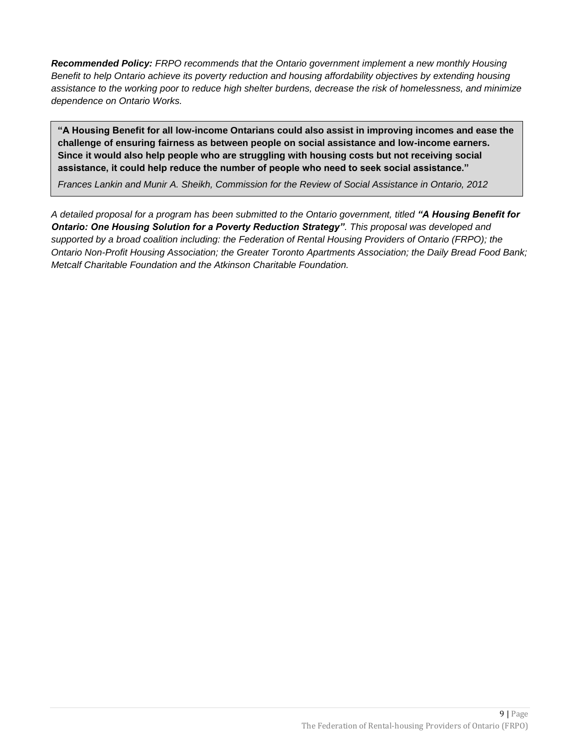*Recommended Policy: FRPO recommends that the Ontario government implement a new monthly Housing Benefit to help Ontario achieve its poverty reduction and housing affordability objectives by extending housing assistance to the working poor to reduce high shelter burdens, decrease the risk of homelessness, and minimize dependence on Ontario Works.*

**"A Housing Benefit for all low-income Ontarians could also assist in improving incomes and ease the challenge of ensuring fairness as between people on social assistance and low-income earners. Since it would also help people who are struggling with housing costs but not receiving social assistance, it could help reduce the number of people who need to seek social assistance."** 

*Frances Lankin and Munir A. Sheikh, Commission for the Review of Social Assistance in Ontario, 2012*

*A detailed proposal for a program has been submitted to the Ontario government, titled "A Housing Benefit for Ontario: One Housing Solution for a Poverty Reduction Strategy". This proposal was developed and supported by a broad coalition including: the Federation of Rental Housing Providers of Ontario (FRPO); the Ontario Non-Profit Housing Association; the Greater Toronto Apartments Association; the Daily Bread Food Bank; Metcalf Charitable Foundation and the Atkinson Charitable Foundation.*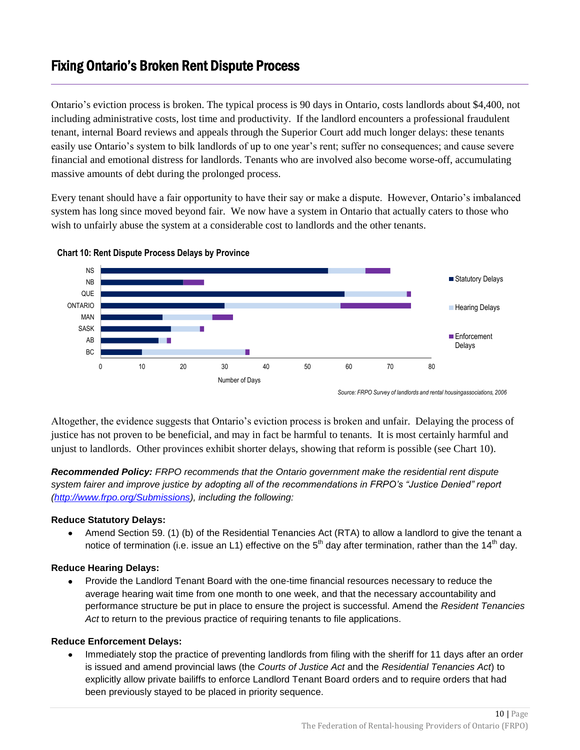# <span id="page-10-0"></span>Fixing Ontario's Broken Rent Dispute Process

Ontario's eviction process is broken. The typical process is 90 days in Ontario, costs landlords about \$4,400, not including administrative costs, lost time and productivity. If the landlord encounters a professional fraudulent tenant, internal Board reviews and appeals through the Superior Court add much longer delays: these tenants easily use Ontario's system to bilk landlords of up to one year's rent; suffer no consequences; and cause severe financial and emotional distress for landlords. Tenants who are involved also become worse-off, accumulating massive amounts of debt during the prolonged process.

Every tenant should have a fair opportunity to have their say or make a dispute. However, Ontario's imbalanced system has long since moved beyond fair. We now have a system in Ontario that actually caters to those who wish to unfairly abuse the system at a considerable cost to landlords and the other tenants.



**Chart 10: Rent Dispute Process Delays by Province**

*Source: FRPO Survey of landlords and rental housingassociations, 2006*

Altogether, the evidence suggests that Ontario's eviction process is broken and unfair. Delaying the process of justice has not proven to be beneficial, and may in fact be harmful to tenants. It is most certainly harmful and unjust to landlords. Other provinces exhibit shorter delays, showing that reform is possible (see Chart 10).

*Recommended Policy: FRPO recommends that the Ontario government make the residential rent dispute system fairer and improve justice by adopting all of the recommendations in FRPO's "Justice Denied" report [\(http://www.frpo.org/Submissions\)](http://www.frpo.org/Submissions), including the following:*

### **Reduce Statutory Delays:**

 $\bullet$ Amend Section 59. (1) (b) of the Residential Tenancies Act (RTA) to allow a landlord to give the tenant a notice of termination (i.e. issue an L1) effective on the 5<sup>th</sup> day after termination, rather than the 14<sup>th</sup> day.

### **Reduce Hearing Delays:**

Provide the Landlord Tenant Board with the one-time financial resources necessary to reduce the average hearing wait time from one month to one week, and that the necessary accountability and performance structure be put in place to ensure the project is successful. Amend the *Resident Tenancies Act* to return to the previous practice of requiring tenants to file applications.

#### **Reduce Enforcement Delays:**

Immediately stop the practice of preventing landlords from filing with the sheriff for 11 days after an order is issued and amend provincial laws (the *Courts of Justice Act* and the *Residential Tenancies Act*) to explicitly allow private bailiffs to enforce Landlord Tenant Board orders and to require orders that had been previously stayed to be placed in priority sequence.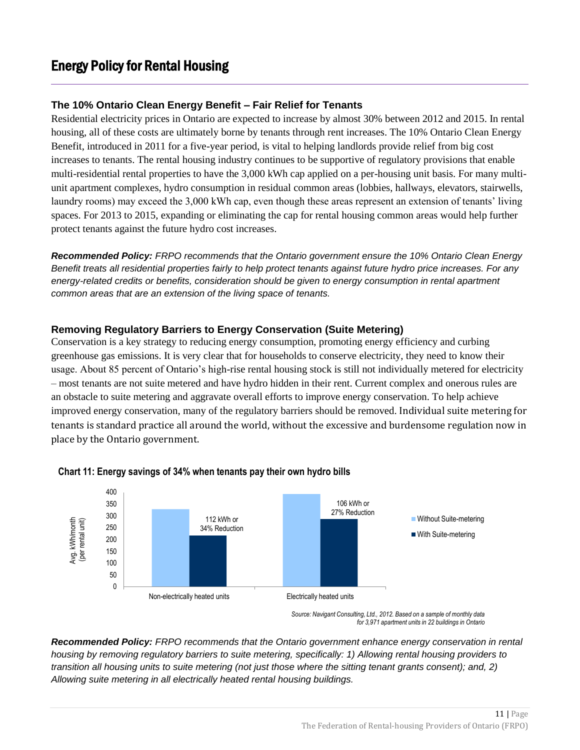### <span id="page-11-0"></span>**The 10% Ontario Clean Energy Benefit – Fair Relief for Tenants**

Residential electricity prices in Ontario are expected to increase by almost 30% between 2012 and 2015. In rental housing, all of these costs are ultimately borne by tenants through rent increases. The 10% Ontario Clean Energy Benefit, introduced in 2011 for a five-year period, is vital to helping landlords provide relief from big cost increases to tenants. The rental housing industry continues to be supportive of regulatory provisions that enable multi-residential rental properties to have the 3,000 kWh cap applied on a per-housing unit basis. For many multiunit apartment complexes, hydro consumption in residual common areas (lobbies, hallways, elevators, stairwells, laundry rooms) may exceed the 3,000 kWh cap, even though these areas represent an extension of tenants' living spaces. For 2013 to 2015, expanding or eliminating the cap for rental housing common areas would help further protect tenants against the future hydro cost increases.

*Recommended Policy: FRPO recommends that the Ontario government ensure the 10% Ontario Clean Energy Benefit treats all residential properties fairly to help protect tenants against future hydro price increases. For any energy-related credits or benefits, consideration should be given to energy consumption in rental apartment common areas that are an extension of the living space of tenants.*

### **Removing Regulatory Barriers to Energy Conservation (Suite Metering)**

Conservation is a key strategy to reducing energy consumption, promoting energy efficiency and curbing greenhouse gas emissions. It is very clear that for households to conserve electricity, they need to know their usage. About 85 percent of Ontario's high-rise rental housing stock is still not individually metered for electricity – most tenants are not suite metered and have hydro hidden in their rent. Current complex and onerous rules are an obstacle to suite metering and aggravate overall efforts to improve energy conservation. To help achieve improved energy conservation, many of the regulatory barriers should be removed. Individual suite metering for tenants is standard practice all around the world, without the excessive and burdensome regulation now in place by the Ontario government.



### **Chart 11: Energy savings of 34% when tenants pay their own hydro bills**

*Source: Navigant Consulting, Ltd., 2012. Based on a sample of monthly data for 3,971 apartment units in 22 buildings in Ontario*

*Recommended Policy: FRPO recommends that the Ontario government enhance energy conservation in rental housing by removing regulatory barriers to suite metering, specifically: 1) Allowing rental housing providers to transition all housing units to suite metering (not just those where the sitting tenant grants consent); and, 2) Allowing suite metering in all electrically heated rental housing buildings.*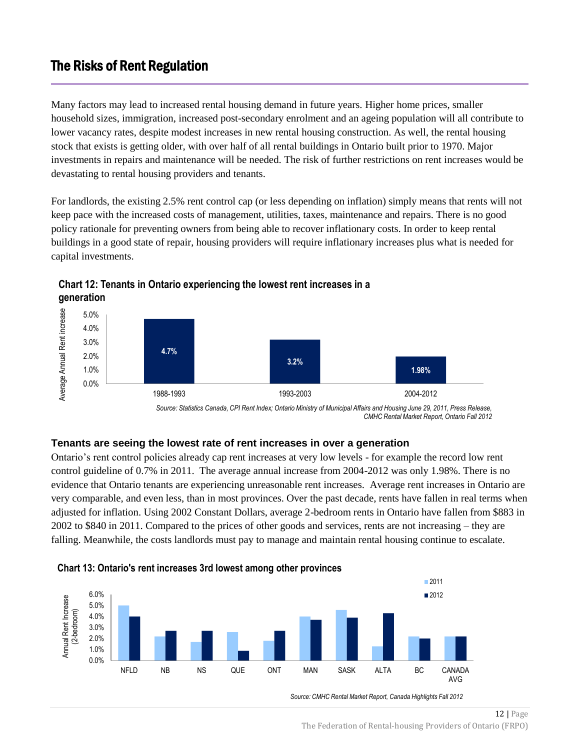# <span id="page-12-0"></span>The Risks of Rent Regulation

Many factors may lead to increased rental housing demand in future years. Higher home prices, smaller household sizes, immigration, increased post-secondary enrolment and an ageing population will all contribute to lower vacancy rates, despite modest increases in new rental housing construction. As well, the rental housing stock that exists is getting older, with over half of all rental buildings in Ontario built prior to 1970. Major investments in repairs and maintenance will be needed. The risk of further restrictions on rent increases would be devastating to rental housing providers and tenants.

For landlords, the existing 2.5% rent control cap (or less depending on inflation) simply means that rents will not keep pace with the increased costs of management, utilities, taxes, maintenance and repairs. There is no good policy rationale for preventing owners from being able to recover inflationary costs. In order to keep rental buildings in a good state of repair, housing providers will require inflationary increases plus what is needed for capital investments.



**Chart 12: Tenants in Ontario experiencing the lowest rent increases in a generation**

*Source: Statistics Canada, CPI Rent Index; Ontario Ministry of Municipal Affairs and Housing June 29, 2011, Press Release, CMHC Rental Market Report, Ontario Fall 2012*

### **Tenants are seeing the lowest rate of rent increases in over a generation**

Ontario's rent control policies already cap rent increases at very low levels - for example the record low rent control guideline of 0.7% in 2011. The average annual increase from 2004-2012 was only 1.98%. There is no evidence that Ontario tenants are experiencing unreasonable rent increases. Average rent increases in Ontario are very comparable, and even less, than in most provinces. Over the past decade, rents have fallen in real terms when adjusted for inflation. Using 2002 Constant Dollars, average 2-bedroom rents in Ontario have fallen from \$883 in 2002 to \$840 in 2011. Compared to the prices of other goods and services, rents are not increasing – they are falling. Meanwhile, the costs landlords must pay to manage and maintain rental housing continue to escalate.



*Source: CMHC Rental Market Report, Canada Highlights Fall 2012*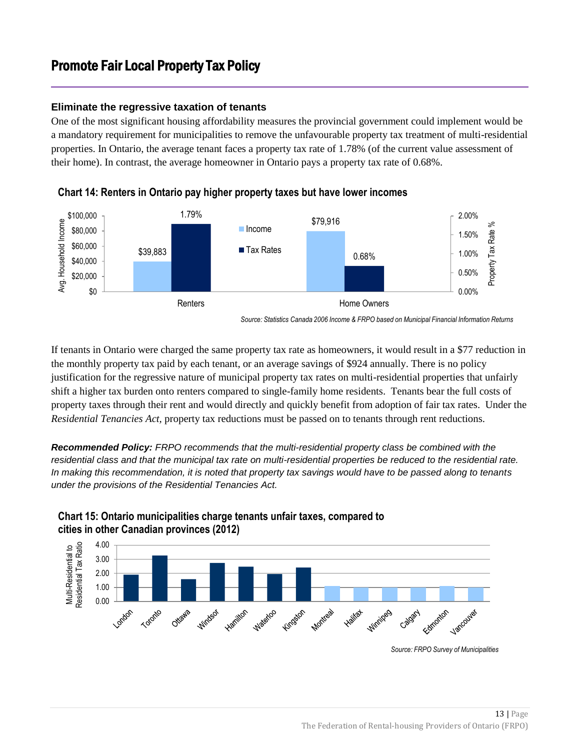# <span id="page-13-0"></span>Promote Fair Local Property Tax Policy

### **Eliminate the regressive taxation of tenants**

One of the most significant housing affordability measures the provincial government could implement would be a mandatory requirement for municipalities to remove the unfavourable property tax treatment of multi-residential properties. In Ontario, the average tenant faces a property tax rate of 1.78% (of the current value assessment of their home). In contrast, the average homeowner in Ontario pays a property tax rate of 0.68%.



**Chart 14: Renters in Ontario pay higher property taxes but have lower incomes** 

If tenants in Ontario were charged the same property tax rate as homeowners, it would result in a \$77 reduction in the monthly property tax paid by each tenant, or an average savings of \$924 annually. There is no policy justification for the regressive nature of municipal property tax rates on multi-residential properties that unfairly shift a higher tax burden onto renters compared to single-family home residents. Tenants bear the full costs of property taxes through their rent and would directly and quickly benefit from adoption of fair tax rates. Under the *Residential Tenancies Act,* property tax reductions must be passed on to tenants through rent reductions.

*Recommended Policy: FRPO recommends that the multi-residential property class be combined with the residential class and that the municipal tax rate on multi-residential properties be reduced to the residential rate. In making this recommendation, it is noted that property tax savings would have to be passed along to tenants under the provisions of the Residential Tenancies Act.*



### **Chart 15: Ontario municipalities charge tenants unfair taxes, compared to cities in other Canadian provinces (2012)**

*Source: Statistics Canada 2006 Income & FRPO based on Municipal Financial Information Returns*